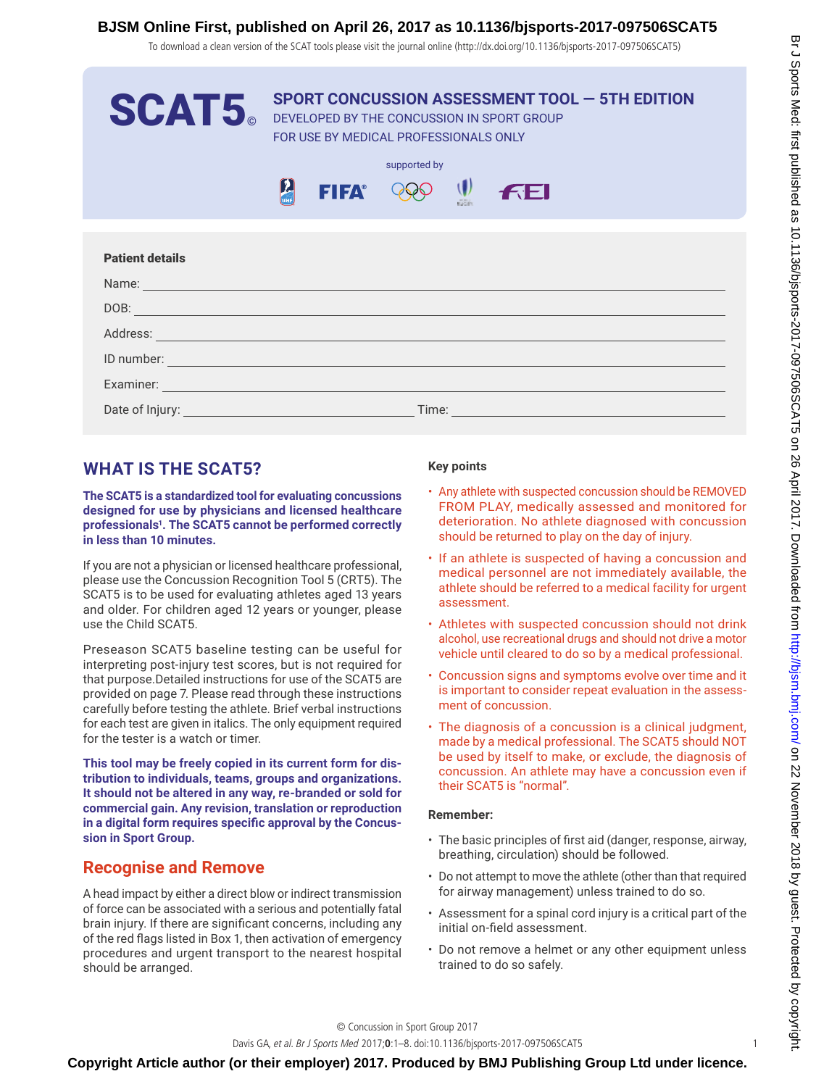# **BJSM Online First, published on April 26, 2017 as 10.1136/bjsports-2017-097506SCAT5**

To download a clean version of the SCAT tools please visit the journal online (http://dx.doi.org/10.1136/bjsports-2017-097506SCAT5)

| <b>SCAT5</b>                           | SPORT CONCUSSION ASSESSMENT TOOL - 5TH EDITION<br>DEVELOPED BY THE CONCUSSION IN SPORT GROUP<br>FOR USE BY MEDICAL PROFESSIONALS ONLY                                                                                                |  |  |  |  |  |
|----------------------------------------|--------------------------------------------------------------------------------------------------------------------------------------------------------------------------------------------------------------------------------------|--|--|--|--|--|
|                                        | supported by<br>$\mathbf{E}$<br><b>FIFA®</b><br><b>FEI</b>                                                                                                                                                                           |  |  |  |  |  |
|                                        |                                                                                                                                                                                                                                      |  |  |  |  |  |
| <b>Patient details</b>                 |                                                                                                                                                                                                                                      |  |  |  |  |  |
|                                        | Name: Name: Name: Name: Name: Name: Name: Name: Name: Name: Name: Name: Name: Name: Name: Name: Name: Name: Name: Name: Name: Name: Name: Name: Name: Name: Name: Name: Name: Name: Name: Name: Name: Name: Name: Name: Name:        |  |  |  |  |  |
|                                        | DOB: www.communication.com/windows/windows/windows/windows/windows/windows/windows/windows/windows/                                                                                                                                  |  |  |  |  |  |
|                                        |                                                                                                                                                                                                                                      |  |  |  |  |  |
|                                        | ID number: <u>with the contract of the contract of the contract of the contract of the contract of the contract of the contract of the contract of the contract of the contract of the contract of the contract of the contract </u> |  |  |  |  |  |
|                                        | Examiner: William School School School School School School School School School School School School School School School School School School School School School School School School School School School School School S       |  |  |  |  |  |
| Date of Injury: <u>Date of Injury:</u> | Time: with the contract of the contract of the contract of the contract of the contract of the contract of the                                                                                                                       |  |  |  |  |  |

# **WHAT IS THE SCAT5?**

**The SCAT5 is a standardized tool for evaluating concussions designed for use by physicians and licensed healthcare professionals1 . The SCAT5 cannot be performed correctly in less than 10 minutes.**

If you are not a physician or licensed healthcare professional, please use the Concussion Recognition Tool 5 (CRT5). The SCAT5 is to be used for evaluating athletes aged 13 years and older. For children aged 12 years or younger, please use the Child SCAT5.

Preseason SCAT5 baseline testing can be useful for interpreting post-injury test scores, but is not required for that purpose.Detailed instructions for use of the SCAT5 are provided on page 7. Please read through these instructions carefully before testing the athlete. Brief verbal instructions for each test are given in italics. The only equipment required for the tester is a watch or timer.

**This tool may be freely copied in its current form for distribution to individuals, teams, groups and organizations. It should not be altered in any way, re-branded or sold for commercial gain. Any revision, translation or reproduction in a digital form requires specific approval by the Concussion in Sport Group.**

# **Recognise and Remove**

A head impact by either a direct blow or indirect transmission of force can be associated with a serious and potentially fatal brain injury. If there are significant concerns, including any of the red flags listed in Box 1, then activation of emergency procedures and urgent transport to the nearest hospital should be arranged.

### **Key points**

- Any athlete with suspected concussion should be REMOVED FROM PLAY, medically assessed and monitored for deterioration. No athlete diagnosed with concussion should be returned to play on the day of injury.
- If an athlete is suspected of having a concussion and medical personnel are not immediately available, the athlete should be referred to a medical facility for urgent assessment.
- Athletes with suspected concussion should not drink alcohol, use recreational drugs and should not drive a motor vehicle until cleared to do so by a medical professional.
- Concussion signs and symptoms evolve over time and it is important to consider repeat evaluation in the assessment of concussion.
- The diagnosis of a concussion is a clinical judgment, made by a medical professional. The SCAT5 should NOT be used by itself to make, or exclude, the diagnosis of concussion. An athlete may have a concussion even if their SCAT5 is "normal".

### **Remember:**

- The basic principles of first aid (danger, response, airway, breathing, circulation) should be followed.
- Do not attempt to move the athlete (other than that required for airway management) unless trained to do so.
- Assessment for a spinal cord injury is a critical part of the initial on-field assessment.
- Do not remove a helmet or any other equipment unless trained to do so safely.

© Concussion in Sport Group 2017

Davis GA, et al. Br J Sports Med 2017;**0**:1–8. doi:10.1136/bjsports-2017-097506SCAT5 1 SCAT5 © Concussion in Sport Group 2017

**Copyright Article author (or their employer) 2017. Produced by BMJ Publishing Group Ltd under licence.**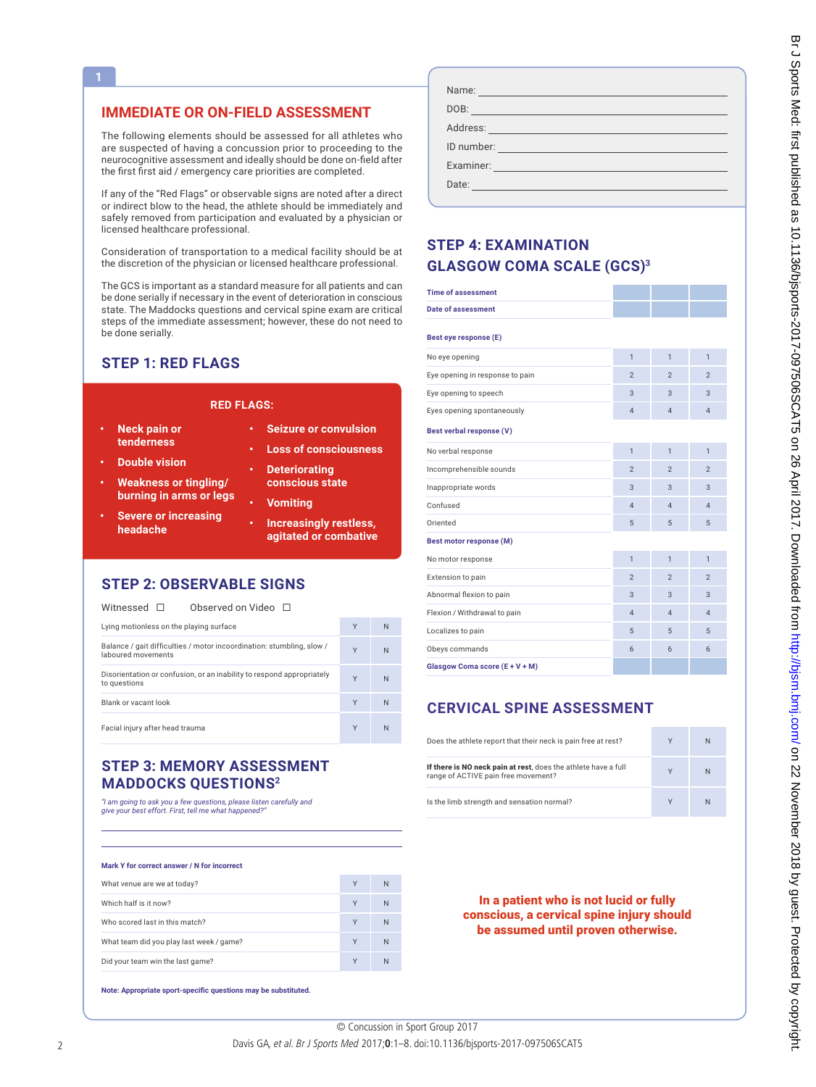### **IMMEDIATE OR ON-FIELD ASSESSMENT**

The following elements should be assessed for all athletes who are suspected of having a concussion prior to proceeding to the neurocognitive assessment and ideally should be done on-field after the first first aid / emergency care priorities are completed.

If any of the "Red Flags" or observable signs are noted after a direct or indirect blow to the head, the athlete should be immediately and safely removed from participation and evaluated by a physician or licensed healthcare professional.

Consideration of transportation to a medical facility should be at the discretion of the physician or licensed healthcare professional.

The GCS is important as a standard measure for all patients and can be done serially if necessary in the event of deterioration in conscious state. The Maddocks questions and cervical spine exam are critical steps of the immediate assessment; however, these do not need to be done serially.

# **STEP 1: RED FLAGS**

#### **RED FLAGS:**

- **Neck pain or tenderness**
- **Double vision**
- **Weakness or tingling/ burning in arms or legs**
- **Severe or increasing headache**
- **Deteriorating conscious state**

**• Seizure or convulsion • Loss of consciousness**

- **Vomiting**
- **Increasingly restless, agitated or combative**

### **STEP 2: OBSERVABLE SIGNS**

| Observed on Video □<br>Witnessed $\square$                                                  |   |    |
|---------------------------------------------------------------------------------------------|---|----|
| Lying motionless on the playing surface                                                     | Y | N  |
| Balance / gait difficulties / motor incoordination: stumbling, slow /<br>laboured movements | Y | N  |
| Disorientation or confusion, or an inability to respond appropriately<br>to questions       | Y | N  |
| Blank or vacant look                                                                        | Y | N. |
| Facial injury after head trauma                                                             | Y | N  |

## **STEP 3: MEMORY ASSESSMENT MADDOCKS QUESTIONS2**

*"I am going to ask you a few questions, please listen carefully and give your best effort. First, tell me what happened?"*

#### **Mark Y for correct answer / N for incorrect**

| What venue are we at today?              | Y | N |
|------------------------------------------|---|---|
| Which half is it now?                    | Y | N |
| Who scored last in this match?           | Y | N |
| What team did you play last week / game? | Y | N |
| Did your team win the last game?         | V | N |

**Note: Appropriate sport-specific questions may be substituted.**

| Name: Name and the second contract of the second contract of the second contract of the second contract of the                  |  |
|---------------------------------------------------------------------------------------------------------------------------------|--|
| DOB:                                                                                                                            |  |
| Address: Address: Address: Address: Address: Address: Address: Address: Address: Address: Address: A                            |  |
|                                                                                                                                 |  |
| Examiner:                                                                                                                       |  |
| Date:<br><u> 1980 - Jan Sterling and Sterling and Sterling and Sterling and Sterling and Sterling and Sterling and Sterling</u> |  |

# **STEP 4: EXAMINATION GLASGOW COMA SCALE (GCS)3**

| <b>Time of assessment</b>       |                |                |                |
|---------------------------------|----------------|----------------|----------------|
| Date of assessment              |                |                |                |
| Best eye response (E)           |                |                |                |
| No eye opening                  | $\mathbf{1}$   | $\mathbf{1}$   | $\mathbf{1}$   |
| Eye opening in response to pain | $\overline{2}$ | $\overline{2}$ | $\overline{2}$ |
| Eye opening to speech           | 3              | 3              | 3              |
| Eyes opening spontaneously      | $\overline{4}$ | $\overline{4}$ | $\overline{4}$ |
| Best verbal response (V)        |                |                |                |
| No verbal response              | $\mathbf{1}$   | $\mathbf{1}$   | $\mathbf{1}$   |
| Incomprehensible sounds         | $\overline{2}$ | $\mathfrak{p}$ | $\overline{2}$ |
| Inappropriate words             | 3              | 3              | $\overline{3}$ |
| Confused                        | $\overline{4}$ | $\overline{4}$ | $\overline{4}$ |
| Oriented                        | 5              | 5              | 5              |
| <b>Best motor response (M)</b>  |                |                |                |
| No motor response               | $\mathbf{1}$   | $\mathbf{1}$   | $\mathbf{1}$   |
| Extension to pain               | $\overline{2}$ | $\mathfrak{D}$ | $\mathfrak{D}$ |
| Abnormal flexion to pain        | 3              | 3              | 3              |
| Flexion / Withdrawal to pain    | 4              | $\overline{4}$ | $\overline{4}$ |
| Localizes to pain               | 5              | $\overline{5}$ | 5              |
| Obeys commands                  | 6              | 6              | 6              |
| Glasgow Coma score (E + V + M)  |                |                |                |

### **CERVICAL SPINE ASSESSMENT**

| Does the athlete report that their neck is pain free at rest?                                         |   | N |  |
|-------------------------------------------------------------------------------------------------------|---|---|--|
| If there is NO neck pain at rest, does the athlete have a full<br>range of ACTIVE pain free movement? | V | N |  |
| Is the limb strength and sensation normal?                                                            |   |   |  |

### In a patient who is not lucid or fully conscious, a cervical spine injury should be assumed until proven otherwise.

**2** Davis GA, et al. Br J Sports Med 2017;**0**:1–8. doi:10.1136/bjsports-2017-097506SCAT5 © Concussion in Sport Group 2017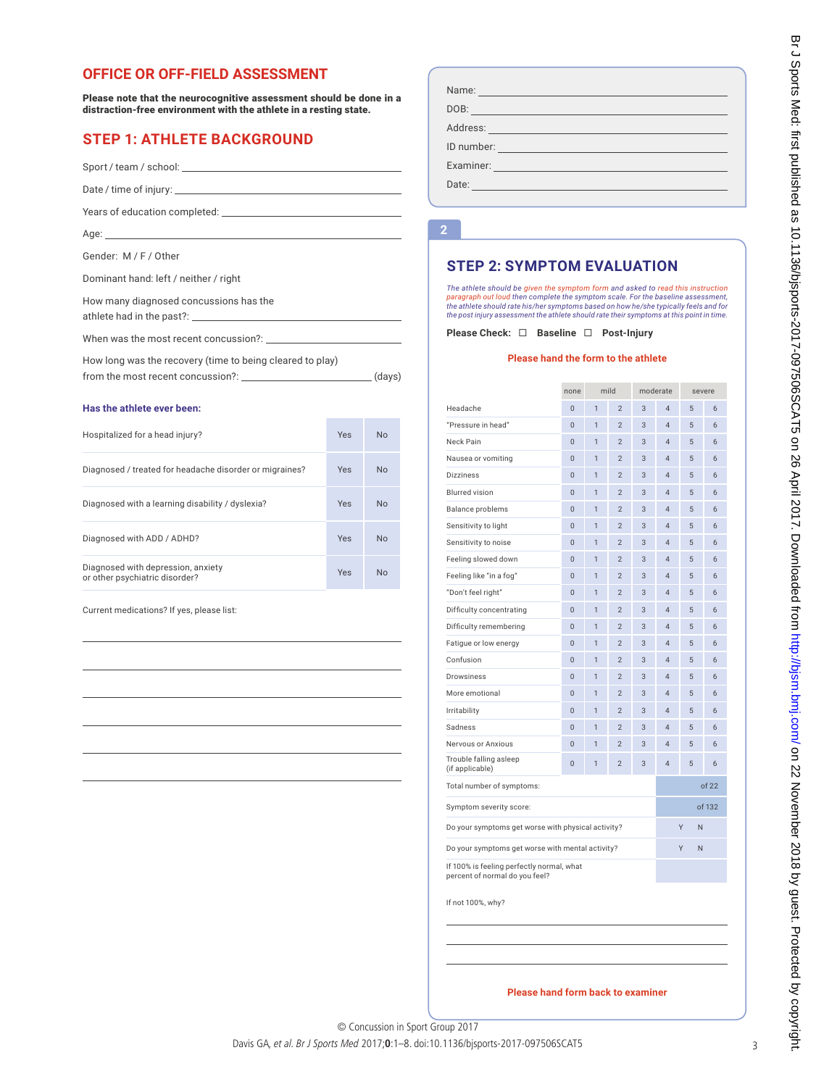### **OFFICE OR OFF-FIELD ASSESSMENT**

Please note that the neurocognitive assessment should be done in a distraction-free environment with the athlete in a resting state.

# **STEP 1: ATHLETE BACKGROUND**

Sport / team / school:

Date / time of injury:

Years of education completed:

Age:

Gender: M / F / Other

Dominant hand: left / neither / right

| How many diagnosed concussions has the |  |
|----------------------------------------|--|
| athlete had in the past?:              |  |

When was the most recent concussion?: \_

How long was the recovery (time to being cleared to play)

from the most recent concussion?: (days)

#### **Has the athlete ever been:**

| Hospitalized for a head injury?                                      | Yes | <b>No</b> |
|----------------------------------------------------------------------|-----|-----------|
| Diagnosed / treated for headache disorder or migraines?              | Yes | <b>No</b> |
| Diagnosed with a learning disability / dyslexia?                     | Yes | <b>No</b> |
| Diagnosed with ADD / ADHD?                                           | Yes | <b>No</b> |
| Diagnosed with depression, anxiety<br>or other psychiatric disorder? | Yes | <b>No</b> |

Current medications? If yes, please list:

| Name:     |
|-----------|
| DOB:      |
|           |
|           |
| Examiner: |
| Date:     |

**2**

### **STEP 2: SYMPTOM EVALUATION**

The athlete should be given the symptom form and asked to read this instruction<br>paragraph out loud then complete the symptom scale. For the baseline assessment, *the athlete should rate his/her symptoms based on how he/she typically feels and for the post injury assessment the athlete should rate their symptoms at this point in time.* 

**Please Check:** □ Baseline □ Post-Injury

#### **Please hand the form to the athlete**

|                                                                             | mild<br>moderate<br>none |                | severe         |   |                |        |       |
|-----------------------------------------------------------------------------|--------------------------|----------------|----------------|---|----------------|--------|-------|
| Headache                                                                    | $\Omega$                 | $\overline{1}$ | $\overline{2}$ | 3 | $\overline{4}$ | 5      | 6     |
| "Pressure in head"                                                          | $\Omega$                 | $\mathbf{1}$   | $\overline{2}$ | 3 | $\overline{4}$ | 5      | 6     |
| Neck Pain                                                                   | $\overline{0}$           | $\overline{1}$ | $\overline{2}$ | 3 | $\overline{4}$ | 5      | 6     |
| Nausea or vomiting                                                          | $\overline{0}$           | $\overline{1}$ | $\overline{2}$ | 3 | $\overline{4}$ | 5      | 6     |
| <b>Dizziness</b>                                                            | $\Omega$                 | $\mathbf{1}$   | $\mathfrak{p}$ | 3 | $\overline{4}$ | 5      | 6     |
| <b>Blurred</b> vision                                                       | $\overline{0}$           | $\overline{1}$ | $\overline{2}$ | 3 | $\overline{4}$ | 5      | 6     |
| Balance problems                                                            | $\overline{0}$           | $\mathbf{1}$   | $\mathfrak{p}$ | 3 | $\overline{4}$ | 5      | 6     |
| Sensitivity to light                                                        | $\overline{0}$           | $\mathbf{1}$   | $\overline{2}$ | 3 | $\overline{4}$ | 5      | 6     |
| Sensitivity to noise                                                        | $\overline{0}$           | $\overline{1}$ | $\overline{2}$ | 3 | $\overline{4}$ | 5      | 6     |
| Feeling slowed down                                                         | $\overline{0}$           | $\mathbf{1}$   | $\mathfrak{p}$ | 3 | $\overline{4}$ | 5      | 6     |
| Feeling like "in a fog"                                                     | $\Omega$                 | $\mathbf{1}$   | $\mathfrak{p}$ | 3 | $\overline{4}$ | 5      | 6     |
| "Don't feel right"                                                          | $\overline{0}$           | $\mathbf{1}$   | $\overline{2}$ | 3 | 4              | 5      | 6     |
| Difficulty concentrating                                                    | $\overline{0}$           | 1              | $\overline{2}$ | 3 | $\overline{4}$ | 5      | 6     |
| Difficulty remembering                                                      | $\Omega$                 | $\mathbf{1}$   | $\mathfrak{p}$ | 3 | $\overline{4}$ | 5      | 6     |
| Fatigue or low energy                                                       | $\overline{0}$           | $\overline{1}$ | $\overline{2}$ | 3 | $\overline{4}$ | 5      | 6     |
| Confusion                                                                   | $\overline{0}$           | $\mathbf{1}$   | $\overline{2}$ | 3 | 4              | 5      | 6     |
| Drowsiness                                                                  | $\Omega$                 | $\overline{1}$ | $\overline{2}$ | 3 | $\overline{4}$ | 5      | 6     |
| More emotional                                                              | $\overline{0}$           | $\overline{1}$ | $\overline{2}$ | 3 | $\overline{4}$ | 5      | 6     |
| Irritability                                                                | $\overline{0}$           | $\overline{1}$ | $\overline{2}$ | 3 | 4              | 5      | 6     |
| Sadness                                                                     | $\Omega$                 | $\overline{1}$ | $\overline{2}$ | 3 | $\overline{4}$ | 5      | 6     |
| Nervous or Anxious                                                          | $\overline{0}$           | 1              | $\overline{2}$ | 3 | 4              | 5      | 6     |
| Trouble falling asleep<br>(if applicable)                                   | $\overline{0}$           | 1              | $\overline{2}$ | 3 | 4              | 5      | 6     |
| Total number of symptoms:                                                   |                          |                |                |   |                |        | of 22 |
| Symptom severity score:                                                     |                          |                |                |   |                | of 132 |       |
| Do your symptoms get worse with physical activity?                          |                          |                |                |   | Y<br>N         |        |       |
| Do your symptoms get worse with mental activity?                            |                          |                |                |   |                | Y<br>N |       |
| If 100% is feeling perfectly normal, what<br>percent of normal do you feel? |                          |                |                |   |                |        |       |

If not 100%, why?

**Please hand form back to examiner**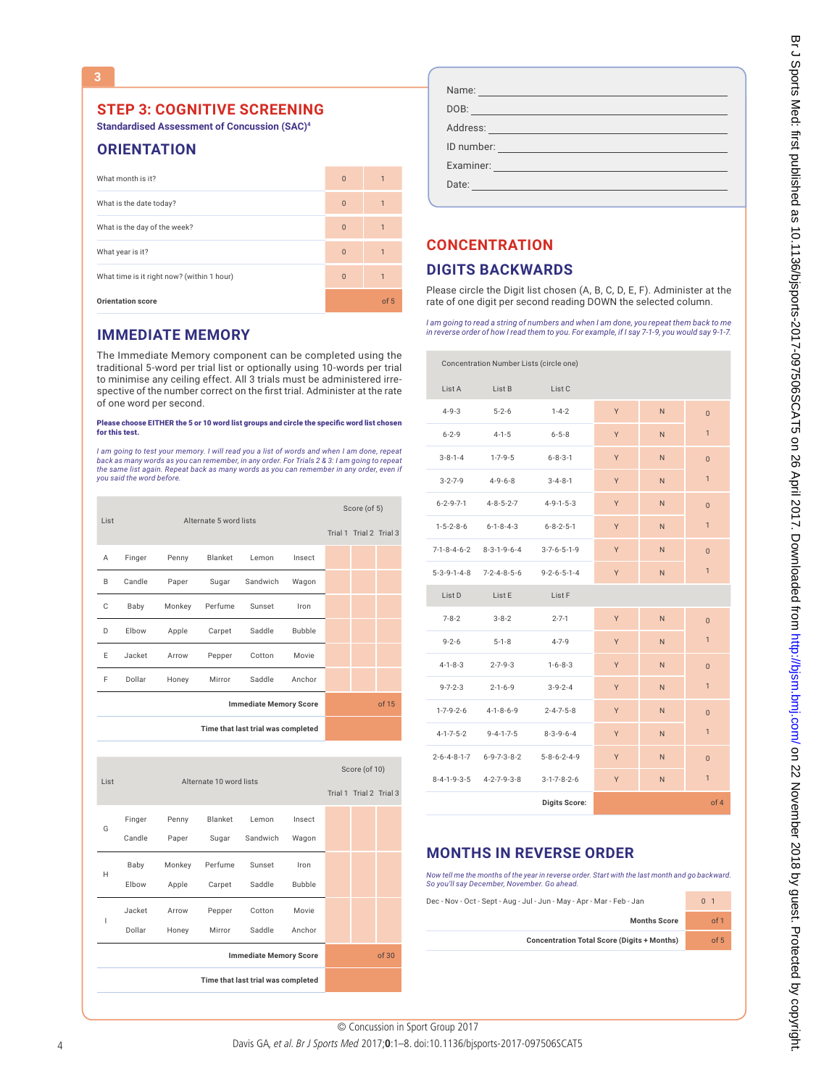## **STEP 3: COGNITIVE SCREENING**

**Standardised Assessment of Concussion (SAC)4**

### **ORIENTATION**

| What month is it?                          | $\Omega$ | $\mathbf{1}$ |
|--------------------------------------------|----------|--------------|
| What is the date today?                    | $\Omega$ |              |
| What is the day of the week?               | $\Omega$ | 1            |
| What year is it?                           | $\Omega$ | 1            |
| What time is it right now? (within 1 hour) | $\Omega$ |              |
| Orientation score                          |          | of 5         |

# **IMMEDIATE MEMORY**

The Immediate Memory component can be completed using the traditional 5-word per trial list or optionally using 10-words per trial to minimise any ceiling effect. All 3 trials must be administered irrespective of the number correct on the first trial. Administer at the rate of one word per second.

#### Please choose EITHER the 5 or 10 word list groups and circle the specific word list chosen for this test.

*I am going to test your memory. I will read you a list of words and when I am done, repeat back as many words as you can remember, in any order. For Trials 2 & 3: I am going to repeat the same list again. Repeat back as many words as you can remember in any order, even if you said the word before.*

|   | Alternate 5 word lists<br>List |        |         |                                    |        | Score (of 5)            |       |
|---|--------------------------------|--------|---------|------------------------------------|--------|-------------------------|-------|
|   |                                |        |         |                                    |        | Trial 1 Trial 2 Trial 3 |       |
| Α | Finger                         | Penny  | Blanket | Lemon                              | Insect |                         |       |
| B | Candle                         | Paper  | Sugar   | Sandwich                           | Wagon  |                         |       |
| C | Baby                           | Monkey | Perfume | Sunset                             | Iron   |                         |       |
| D | Elbow                          | Apple  | Carpet  | Saddle                             | Bubble |                         |       |
| E | Jacket                         | Arrow  | Pepper  | Cotton                             | Movie  |                         |       |
| F | Dollar                         | Honey  | Mirror  | Saddle                             | Anchor |                         |       |
|   |                                |        |         | <b>Immediate Memory Score</b>      |        |                         | of 15 |
|   |                                |        |         | Time that last trial was completed |        |                         |       |

| List                               | Alternate 10 word lists       |        |                | Score (of 10) |               |                         |       |  |
|------------------------------------|-------------------------------|--------|----------------|---------------|---------------|-------------------------|-------|--|
|                                    |                               |        |                |               |               | Trial 1 Trial 2 Trial 3 |       |  |
| G                                  | Finger                        | Penny  | <b>Blanket</b> | Lemon         | Insect        |                         |       |  |
|                                    | Candle                        | Paper  | Sugar          | Sandwich      | Wagon         |                         |       |  |
| Н                                  | Baby                          | Monkey | Perfume        | Sunset        | Iron          |                         |       |  |
|                                    | Elbow                         | Apple  | Carpet         | Saddle        | <b>Bubble</b> |                         |       |  |
| ı                                  | Jacket                        | Arrow  | Pepper         | Cotton        | Movie         |                         |       |  |
|                                    | Dollar                        | Honey  | Mirror         | Saddle        | Anchor        |                         |       |  |
|                                    | <b>Immediate Memory Score</b> |        |                |               |               |                         | of 30 |  |
| Time that last trial was completed |                               |        |                |               |               |                         |       |  |

| Name:<br><u> 1989 - Johann Stein, markin film yn y brening yn y brening y de ymdysgwys y brening y brening y brening y br</u> |
|-------------------------------------------------------------------------------------------------------------------------------|
| DOB:<br><u>a sa mga sangang ng mga sangang ng mga sangang ng mga sangang ng mga sangang ng mga sangang ng mga sangang ng </u> |
|                                                                                                                               |
| ID number:<br><u> 1970 - John Stone, mars et al.</u>                                                                          |
| Examiner:                                                                                                                     |
| Date:                                                                                                                         |

# **CONCENTRATION**

# **DIGITS BACKWARDS**

Please circle the Digit list chosen (A, B, C, D, E, F). Administer at the rate of one digit per second reading DOWN the selected column.

*I am going to read a string of numbers and when I am done, you repeat them back to me in reverse order of how I read them to you. For example, if I say 7-1-9, you would say 9-1-7.*

|                         | Concentration Number Lists (circle one) |                         |   |                |                |
|-------------------------|-----------------------------------------|-------------------------|---|----------------|----------------|
| List A                  | List B                                  | List <sub>C</sub>       |   |                |                |
| $4 - 9 - 3$             | $5 - 2 - 6$                             | $1 - 4 - 2$             | Y | N              | $\Omega$       |
| $6 - 2 - 9$             | $4 - 1 - 5$                             | $6 - 5 - 8$             | Y | N              | $\mathbf{1}$   |
| $3 - 8 - 1 - 4$         | $1 - 7 - 9 - 5$                         | $6 - 8 - 3 - 1$         | Y | N              | $\overline{0}$ |
| $3 - 2 - 7 - 9$         | $4 - 9 - 6 - 8$                         | $3 - 4 - 8 - 1$         | Y | N              | $\mathbf{1}$   |
| $6 - 2 - 9 - 7 - 1$     | $4 - 8 - 5 - 2 - 7$                     | $4 - 9 - 1 - 5 - 3$     | Y | N              | $\Omega$       |
| $1 - 5 - 2 - 8 - 6$     | $6 - 1 - 8 - 4 - 3$                     | $6 - 8 - 2 - 5 - 1$     | Y | N              | $\mathbf{1}$   |
| $7 - 1 - 8 - 4 - 6 - 2$ | $8-3-1-9-6-4$                           | $3 - 7 - 6 - 5 - 1 - 9$ | Y | N              | $\overline{0}$ |
| $5 - 3 - 9 - 1 - 4 - 8$ | $7 - 2 - 4 - 8 - 5 - 6$                 | $9 - 2 - 6 - 5 - 1 - 4$ | Y | N              | $\mathbf{1}$   |
| List D                  | List E                                  | List F                  |   |                |                |
| $7 - 8 - 2$             | $3 - 8 - 2$                             | $2 - 7 - 1$             | Y | N              | $\overline{0}$ |
| $9 - 2 - 6$             | $5 - 1 - 8$                             | $4 - 7 - 9$             | Y | N              | $\mathbf{1}$   |
| $4 - 1 - 8 - 3$         | $2 - 7 - 9 - 3$                         | $1 - 6 - 8 - 3$         | Y | N              | $\overline{0}$ |
| $9 - 7 - 2 - 3$         | $2 - 1 - 6 - 9$                         | $3 - 9 - 2 - 4$         | Y | $\overline{N}$ | $\mathbf{1}$   |
| $1 - 7 - 9 - 2 - 6$     | $4 - 1 - 8 - 6 - 9$                     | $2 - 4 - 7 - 5 - 8$     | Y | $\overline{N}$ | $\overline{0}$ |
| $4 - 1 - 7 - 5 - 2$     | $9 - 4 - 1 - 7 - 5$                     | $8 - 3 - 9 - 6 - 4$     | Y | N              | $\mathbf{1}$   |
| $2 - 6 - 4 - 8 - 1 - 7$ | 6-9-7-3-8-2                             | $5 - 8 - 6 - 2 - 4 - 9$ | Y | $\overline{N}$ | $\overline{0}$ |
| $8 - 4 - 1 - 9 - 3 - 5$ | $4 - 2 - 7 - 9 - 3 - 8$                 | $3 - 1 - 7 - 8 - 2 - 6$ | Y | N.             | $\mathbf{1}$   |
|                         |                                         | <b>Digits Score:</b>    |   |                | of 4           |

# **MONTHS IN REVERSE ORDER**

*Now tell me the months of the year in reverse order. Start with the last month and go backward. So you'll say December, November. Go ahead.*

| Dec - Nov - Oct - Sept - Aug - Jul - Jun - May - Apr - Mar - Feb - Jan |                 |
|------------------------------------------------------------------------|-----------------|
| <b>Months Score</b>                                                    | of <sub>1</sub> |
| <b>Concentration Total Score (Digits + Months)</b>                     | of 5            |

Br J Sports Med: first published as 10.1136/bjsports-2017-097506SCAT5 on 26 April 2017. Downloaded from http://bjsm.bmj.com/ on 22 November 2018 by guest. Protected by copyright. Br J Sports Med: first published as 10.1136/bjsports-2017-097506SCAT5 on 29 April 2017. Downloaded from American as 10.1136/bjsports-2017-097506SCAT5 on 22 November 2018 by guest. Protected by copyright.

© Concussion in Sport Group 2017

A Davis GA, et al. Br J Sports Med 2017;**0**:1–8. doi:10.1136/bjsports-2017-097506SCAT5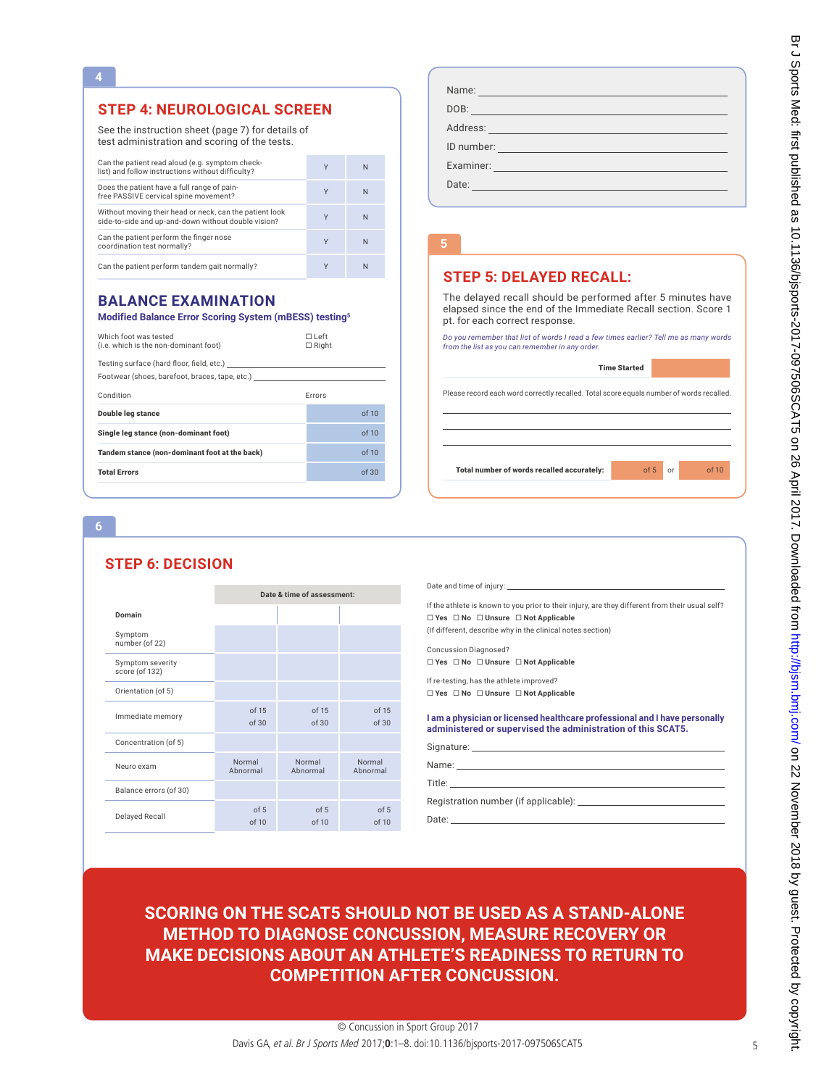## **STEP 4: NEUROLOGICAL SCREEN**

See the instruction sheet (page 7) for details of test administration and scoring of the tests.

| Can the patient read aloud (e.g. symptom check-<br>list) and follow instructions without difficulty?           | γ | N |
|----------------------------------------------------------------------------------------------------------------|---|---|
| Does the patient have a full range of pain-<br>free PASSIVE cervical spine movement?                           | v | N |
| Without moving their head or neck, can the patient look<br>side-to-side and up-and-down without double vision? | v | N |
| Can the patient perform the finger nose<br>coordination test normally?                                         | v | N |
| Can the patient perform tandem gait normally?                                                                  | v | N |

### **BALANCE EXAMINATION**

#### **Modified Balance Error Scoring System (mBESS) testing5**

| Which foot was tested<br>(i.e. which is the non-dominant foot)                              | □ Left<br>$\Box$ Right |       |
|---------------------------------------------------------------------------------------------|------------------------|-------|
| Testing surface (hard floor, field, etc.)<br>Footwear (shoes, barefoot, braces, tape, etc.) |                        |       |
| Condition                                                                                   | Errors                 |       |
| <b>Double leg stance</b>                                                                    |                        | of 10 |
| Single leg stance (non-dominant foot)                                                       |                        | of 10 |
| Tandem stance (non-dominant foot at the back)                                               |                        | of 10 |
| <b>Total Errors</b>                                                                         |                        | of 30 |
|                                                                                             |                        |       |

# Name: DOB: Address: ID number: Examiner: Date:

### **STEP 5: DELAYED RECALL:**

The delayed recall should be performed after 5 minutes have elapsed since the end of the Immediate Recall section. Score 1 pt. for each correct response.

*Do you remember that list of words I read a few times earlier? Tell me as many words from the list as you can remember in any order.*

|                                                                                          | <b>Time Started</b> |    |       |
|------------------------------------------------------------------------------------------|---------------------|----|-------|
| Please record each word correctly recalled. Total score equals number of words recalled. |                     |    |       |
|                                                                                          |                     |    |       |
|                                                                                          |                     |    |       |
|                                                                                          |                     |    |       |
| Total number of words recalled accurately:                                               | of 5                | or | of 10 |

### **6**

# **STEP 6: DECISION**

|                                    | Date & time of assessment: |                    |                    |
|------------------------------------|----------------------------|--------------------|--------------------|
| Domain                             |                            |                    |                    |
| Symptom<br>number (of 22)          |                            |                    |                    |
| Symptom severity<br>score (of 132) |                            |                    |                    |
| Orientation (of 5)                 |                            |                    |                    |
| Immediate memory                   | of 15<br>of 30             | of 15<br>of 30     | of 15<br>of 30     |
| Concentration (of 5)               |                            |                    |                    |
| Neuro exam                         | Normal<br>Abnormal         | Normal<br>Abnormal | Normal<br>Abnormal |
| Balance errors (of 30)             |                            |                    |                    |
| <b>Delayed Recall</b>              | of 5<br>of 10              | of 5<br>of 10      | of 5<br>of 10      |

Date and time of injury:

If the athlete is known to you prior to their injury, are they different from their usual self?  **Yes No Unsure Not Applicable**

(If different, describe why in the clinical notes section) Concussion Diagnosed?

 **Yes No Unsure Not Applicable**

If re-testing, has the athlete improved?  **Yes No Unsure Not Applicable**

#### **I am a physician or licensed healthcare professional and I have personally administered or supervised the administration of this SCAT5.**

Signature: Name: Title:

Registration number (if applicable):

Date:

**SCORING ON THE SCAT5 SHOULD NOT BE USED AS A STAND-ALONE METHOD TO DIAGNOSE CONCUSSION, MEASURE RECOVERY OR MAKE DECISIONS ABOUT AN ATHLETE'S READINESS TO RETURN TO COMPETITION AFTER CONCUSSION.**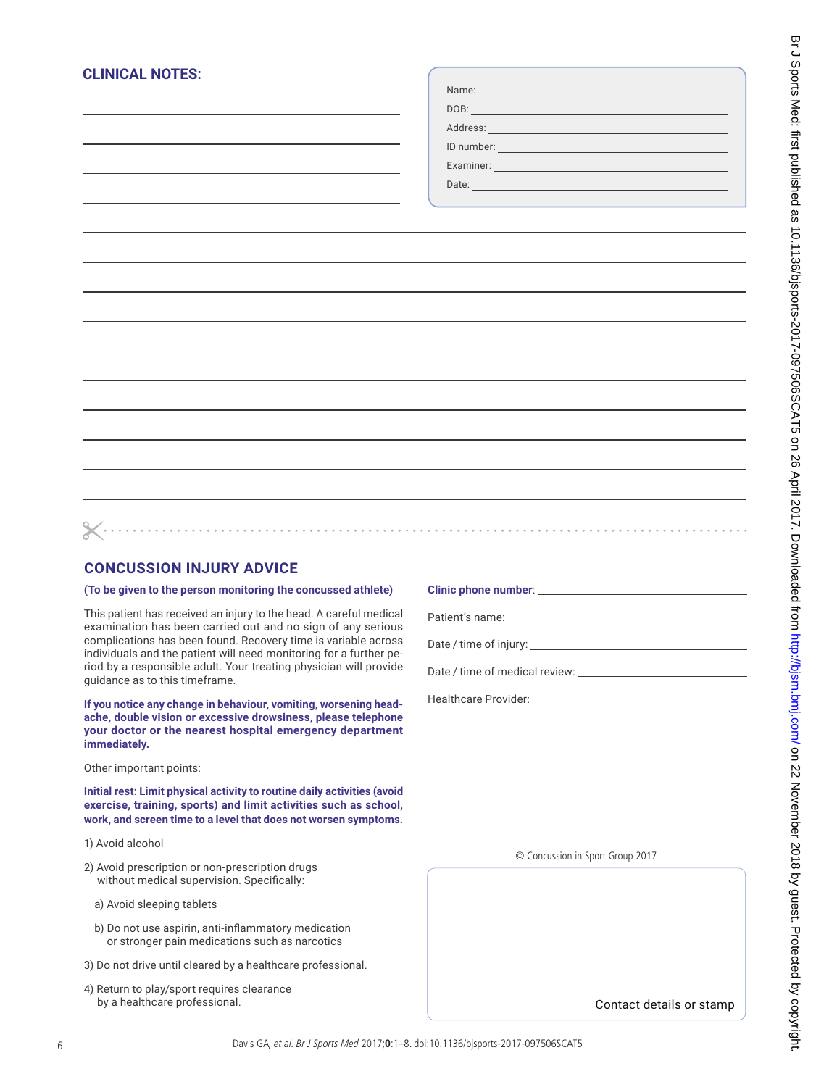# **CLINICAL NOTES:**

Name:

### **CONCUSSION INJURY ADVICE**

### **(To be given to the person monitoring the concussed athlete)**

This patient has received an injury to the head. A careful medical examination has been carried out and no sign of any serious complications has been found. Recovery time is variable across individuals and the patient will need monitoring for a further period by a responsible adult. Your treating physician will provide guidance as to this timeframe.

**If you notice any change in behaviour, vomiting, worsening headache, double vision or excessive drowsiness, please telephone your doctor or the nearest hospital emergency department immediately.**

Other important points:

**Initial rest: Limit physical activity to routine daily activities (avoid exercise, training, sports) and limit activities such as school, work, and screen time to a level that does not worsen symptoms.**

- 1) Avoid alcohol
- 2) Avoid prescription or non-prescription drugs without medical supervision. Specifically:
	- a) Avoid sleeping tablets
	- b) Do not use aspirin, anti-inflammatory medication or stronger pain medications such as narcotics
- 3) Do not drive until cleared by a healthcare professional.
- 4) Return to play/sport requires clearance by a healthcare professional.

# **Clinic phone number**: Patient's name: Date / time of injury: Date / time of medical review: Healthcare Provider: New York 1999

© Concussion in Sport Group 2017

Contact details or stamp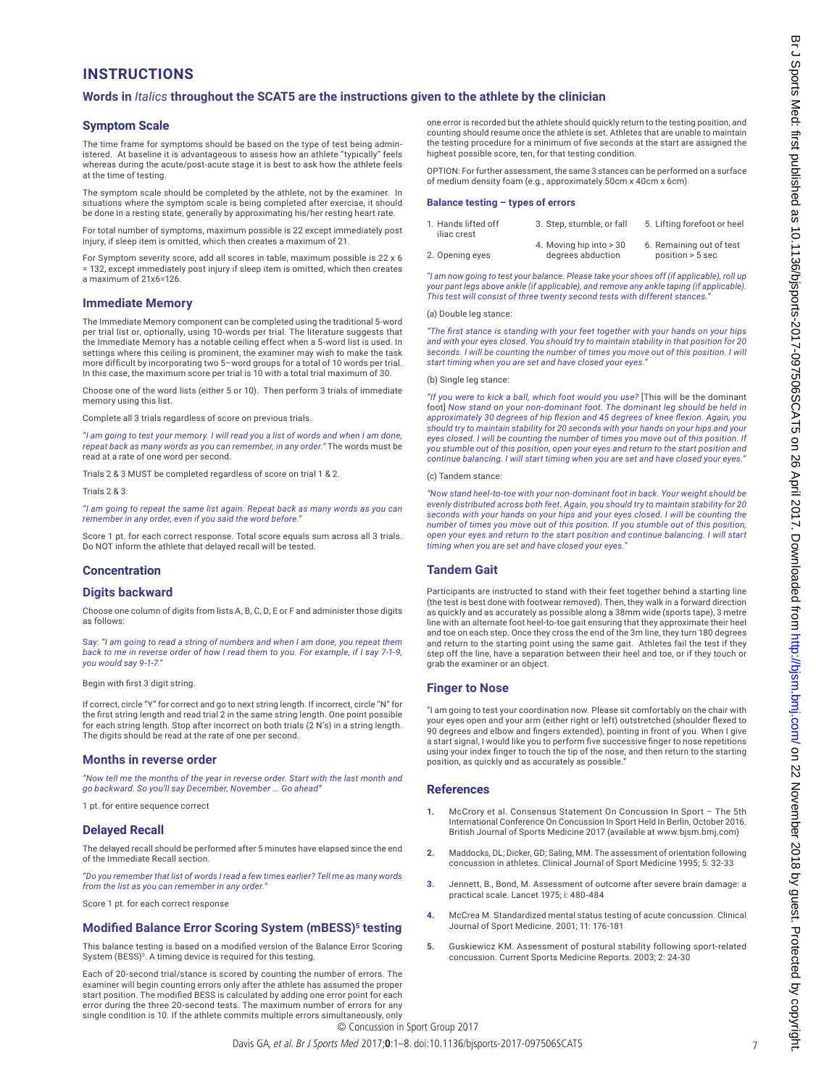# **INSTRUCTIONS**

### **Words in** *Italics* **throughout the SCAT5 are the instructions given to the athlete by the clinician**

#### **Symptom Scale**

The time frame for symptoms should be based on the type of test being administered. At baseline it is advantageous to assess how an athlete "typically" feels whereas during the acute/post-acute stage it is best to ask how the athlete feels at the time of testing.

The symptom scale should be completed by the athlete, not by the examiner. In situations where the symptom scale is being completed after exercise, it should be done in a resting state, generally by approximating his/her resting heart rate.

For total number of symptoms, maximum possible is 22 except immediately post injury, if sleep item is omitted, which then creates a maximum of 21.

For Symptom severity score, add all scores in table, maximum possible is 22 x 6 = 132, except immediately post injury if sleep item is omitted, which then creates a maximum of 21x6=126.

### **Immediate Memory**

The Immediate Memory component can be completed using the traditional 5-word per trial list or, optionally, using 10-words per trial. The literature suggests that the Immediate Memory has a notable ceiling effect when a 5-word list is used. In settings where this ceiling is prominent, the examiner may wish to make the task more difficult by incorporating two 5–word groups for a total of 10 words per trial. In this case, the maximum score per trial is 10 with a total trial maximum of 30.

Choose one of the word lists (either 5 or 10). Then perform 3 trials of immediate memory using this list.

Complete all 3 trials regardless of score on previous trials.

*"I am going to test your memory. I will read you a list of words and when I am done, repeat back as many words as you can remember, in any order."* The words must be read at a rate of one word per second.

Trials 2 & 3 MUST be completed regardless of score on trial 1 & 2.

Trials 2 & 3:

*"I am going to repeat the same list again. Repeat back as many words as you can remember in any order, even if you said the word before."*

Score 1 pt. for each correct response. Total score equals sum across all 3 trials. Do NOT inform the athlete that delayed recall will be tested.

#### **Concentration**

### **Digits backward**

Choose one column of digits from lists A, B, C, D, E or F and administer those digits as follows:

Say: *"I am going to read a string of numbers and when I am done, you repeat them back to me in reverse order of how I read them to you. For example, if I say 7-1-9, you would say 9-1-7."* 

Begin with first 3 digit string.

If correct, circle "Y" for correct and go to next string length. If incorrect, circle "N" for the first string length and read trial 2 in the same string length. One point possible for each string length. Stop after incorrect on both trials (2 N's) in a string length. The digits should be read at the rate of one per second.

#### **Months in reverse order**

*"Now tell me the months of the year in reverse order. Start with the last month and go backward. So you'll say December, November ... Go ahead"*

1 pt. for entire sequence correct

#### **Delayed Recall**

The delayed recall should be performed after 5 minutes have elapsed since the end of the Immediate Recall section.

*"Do you remember that list of words I read a few times earlier? Tell me as many words from the list as you can remember in any order."* 

Score 1 pt. for each correct response

#### **Modified Balance Error Scoring System (mBESS)5 testing**

This balance testing is based on a modified version of the Balance Error Scoring System (BESS)<sup>5</sup>. A timing device is required for this testing.

Each of 20-second trial/stance is scored by counting the number of errors. The examiner will begin counting errors only after the athlete has assumed the proper start position. The modified BESS is calculated by adding one error point for each error during the three 20-second tests. The maximum number of errors for any single condition is 10. If the athlete commits multiple errors simultaneously, only

one error is recorded but the athlete should quickly return to the testing position, and counting should resume once the athlete is set. Athletes that are unable to maintain the testing procedure for a minimum of five seconds at the start are assigned the highest possible score, ten, for that testing condition.

OPTION: For further assessment, the same 3 stances can be performed on a surface of medium density foam (e.g., approximately 50cm x 40cm x 6cm).

#### **Balance testing – types of errors**

| 1. Hands lifted off<br>iliac crest | 3. Step, stumble, or fall                    | 5. Lifting forefoot or hee                   |
|------------------------------------|----------------------------------------------|----------------------------------------------|
| 2. Opening eyes                    | 4. Moving hip into > 30<br>degrees abduction | 6. Remaining out of test<br>position > 5 sec |
|                                    |                                              |                                              |

*"I am now going to test your balance. Please take your shoes off (if applicable), roll up your pant legs above ankle (if applicable), and remove any ankle taping (if applicable). This test will consist of three twenty second tests with different stances."*

#### (a) Double leg stance:

*"The first stance is standing with your feet together with your hands on your hips*  and with your eyes closed. You should try to maintain stability in that position for 20<br>seconds. I will be counting the number of times you move out of this position. I will *start timing when you are set and have closed your eyes."*

#### (b) Single leg stance:

*"If you were to kick a ball, which foot would you use?* [This will be the dominant foot] Now stand on your non-dominant foot. The dominant leg should be held in<br>approximately 30 degrees of hip flexion and 45 degrees of knee flexion. Again, you<br>should try to maintain stability for 20 seconds with your han **eyes closed.** I will be counting the number of times you move out of this position. If *you stumble out of this position, open your eyes and return to the start position and continue balancing. I will start timing when you are set and have closed your eyes."* 

#### (c) Tandem stance:

*"Now stand heel-to-toe with your non-dominant foot in back. Your weight should be evenly distributed across both feet. Again, you should try to maintain stability for 20 seconds with your hands on your hips and your eyes closed. I will be counting the number of times you move out of this position. If you stumble out of this position, open your eyes and return to the start position and continue balancing. I will start timing when you are set and have closed your eyes."*

#### **Tandem Gait**

Participants are instructed to stand with their feet together behind a starting line (the test is best done with footwear removed). Then, they walk in a forward direction as quickly and as accurately as possible along a 38mm wide (sports tape), 3 metre line with an alternate foot heel-to-toe gait ensuring that they approximate their heel and toe on each step. Once they cross the end of the 3m line, they turn 180 degrees and return to the starting point using the same gait. Athletes fail the test if they step off the line, have a separation between their heel and toe, or if they touch or grab the examiner or an object.

#### **Finger to Nose**

"I am going to test your coordination now. Please sit comfortably on the chair with your eyes open and your arm (either right or left) outstretched (shoulder flexed to 90 degrees and elbow and fingers extended), pointing in front of you. When I give a start signal, I would like you to perform five successive finger to nose repetitions using your index finger to touch the tip of the nose, and then return to the starting position, as quickly and as accurately as possible.

#### **References**

- **1.** McCrory et al. Consensus Statement On Concussion In Sport The 5th International Conference On Concussion In Sport Held In Berlin, October 2016. British Journal of Sports Medicine 2017 (available at www.bjsm.bmj.com)
- **2.** Maddocks, DL; Dicker, GD; Saling, MM. The assessment of orientation following concussion in athletes. Clinical Journal of Sport Medicine 1995; 5: 32-33
- **3.** Jennett, B., Bond, M. Assessment of outcome after severe brain damage: a practical scale. Lancet 1975; i: 480-484
- **4.** McCrea M. Standardized mental status testing of acute concussion. Clinical Journal of Sport Medicine. 2001; 11: 176-181
- **5.** Guskiewicz KM. Assessment of postural stability following sport-related concussion. Current Sports Medicine Reports. 2003; 2: 24-30

© Concussion in Sport Group 2017